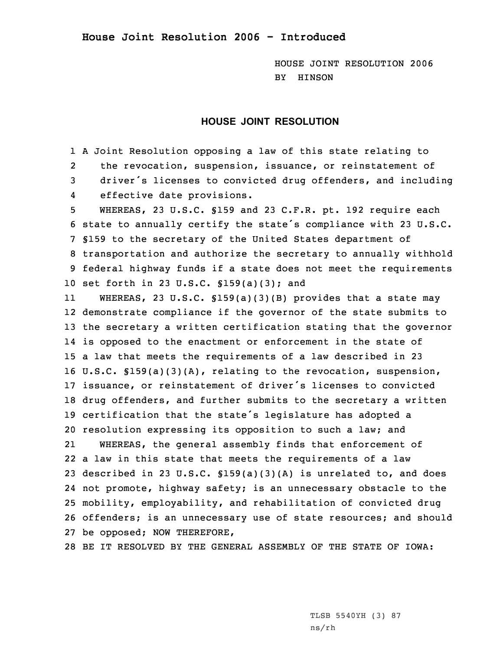HOUSE JOINT RESOLUTION 2006 BY HINSON

## **HOUSE JOINT RESOLUTION**

1 <sup>A</sup> Joint Resolution opposing <sup>a</sup> law of this state relating to 2 the revocation, suspension, issuance, or reinstatement of <sup>3</sup> driver's licenses to convicted drug offenders, and including 4effective date provisions.

 WHEREAS, 23 U.S.C. §159 and 23 C.F.R. pt. 192 require each state to annually certify the state's compliance with <sup>23</sup> U.S.C. §159 to the secretary of the United States department of transportation and authorize the secretary to annually withhold federal highway funds if <sup>a</sup> state does not meet the requirements set forth in 23 U.S.C. §159(a)(3); and

11 WHEREAS, 23 U.S.C. §159(a)(3)(B) provides that <sup>a</sup> state may demonstrate compliance if the governor of the state submits to the secretary <sup>a</sup> written certification stating that the governor is opposed to the enactment or enforcement in the state of <sup>a</sup> law that meets the requirements of <sup>a</sup> law described in 23 U.S.C. §159(a)(3)(A), relating to the revocation, suspension, issuance, or reinstatement of driver's licenses to convicted drug offenders, and further submits to the secretary <sup>a</sup> written certification that the state's legislature has adopted <sup>a</sup> resolution expressing its opposition to such <sup>a</sup> law; and 21 WHEREAS, the general assembly finds that enforcement of <sup>a</sup> law in this state that meets the requirements of <sup>a</sup> law 23 described in 23 U.S.C.  $$159(a)(3)(A)$  is unrelated to, and does not promote, highway safety; is an unnecessary obstacle to the mobility, employability, and rehabilitation of convicted drug offenders; is an unnecessary use of state resources; and should be opposed; NOW THEREFORE,

28 BE IT RESOLVED BY THE GENERAL ASSEMBLY OF THE STATE OF IOWA:

TLSB 5540YH (3) 87 ns/rh